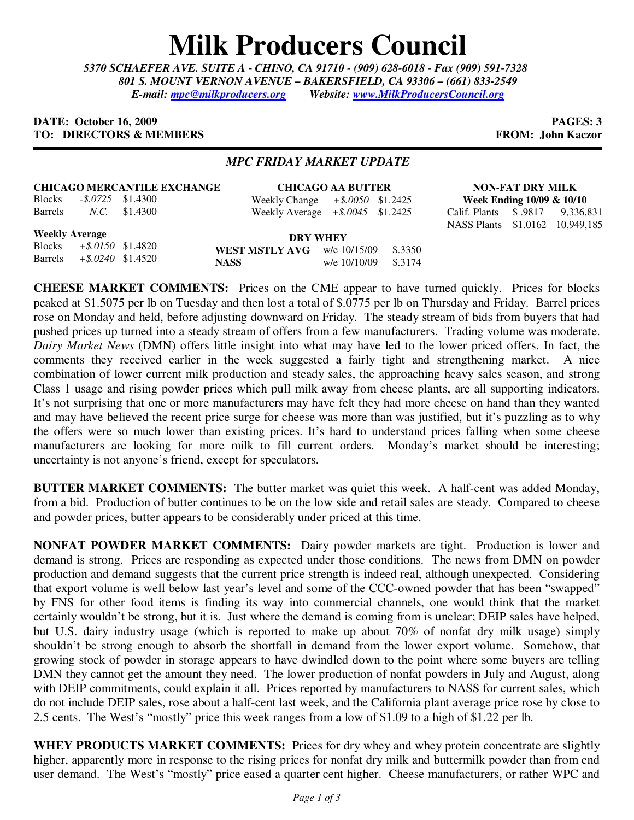## **Milk Producers Council**

*5370 SCHAEFER AVE. SUITE A* **-** *CHINO, CA 91710 - (909) 628-6018 - Fax (909) 591-7328 801 S. MOUNT VERNON AVENUE – BAKERSFIELD, CA 93306 – (661) 833-2549 E-mail: mpc@milkproducers.org Website: www.MilkProducersCouncil.org*

## **DATE: October 16, 2009 PAGES: 3 TO: DIRECTORS & MEMBERS FROM: John Kaczor**

## *MPC FRIDAY MARKET UPDATE*

|         | <b>CHICAGO MERCANTILE EXCHANGE</b> | <b>CHICAGO A</b>     |                  |  |
|---------|------------------------------------|----------------------|------------------|--|
| Blocks  |                                    | $-8.0725$ \$1.4300   | Weekly Change +  |  |
| Barrels |                                    | <i>N.C.</i> \$1.4300 | Weekly Average + |  |

**CHICAGO AA BUTTER** Weekly Change *+\$.0050* \$1.2425 Weekly Average *+\$.0045* \$1.2425

**NON-FAT DRY MILK Week Ending 10/09 & 10/10** Calif. Plants \$ .9817 9,336,831

NASS Plants \$1.0162 10,949,185

**Weekly Average**

**DRY WHEY WEST MSTLY AVG** w/e 10/15/09 \$.3350 **NASS** w/e 10/10/09 \$.3174 Blocks *+\$.0150* \$1.4820 Barrels *+\$.0240* \$1.4520

**CHEESE MARKET COMMENTS:** Prices on the CME appear to have turned quickly. Prices for blocks peaked at \$1.5075 per lb on Tuesday and then lost a total of \$.0775 per lb on Thursday and Friday. Barrel prices rose on Monday and held, before adjusting downward on Friday. The steady stream of bids from buyers that had pushed prices up turned into a steady stream of offers from a few manufacturers. Trading volume was moderate. *Dairy Market News* (DMN) offers little insight into what may have led to the lower priced offers. In fact, the comments they received earlier in the week suggested a fairly tight and strengthening market. A nice combination of lower current milk production and steady sales, the approaching heavy sales season, and strong Class 1 usage and rising powder prices which pull milk away from cheese plants, are all supporting indicators. It's not surprising that one or more manufacturers may have felt they had more cheese on hand than they wanted and may have believed the recent price surge for cheese was more than was justified, but it's puzzling as to why the offers were so much lower than existing prices. It's hard to understand prices falling when some cheese manufacturers are looking for more milk to fill current orders. Monday's market should be interesting; uncertainty is not anyone's friend, except for speculators.

**BUTTER MARKET COMMENTS:** The butter market was quiet this week. A half-cent was added Monday, from a bid. Production of butter continues to be on the low side and retail sales are steady. Compared to cheese and powder prices, butter appears to be considerably under priced at this time.

**NONFAT POWDER MARKET COMMENTS:** Dairy powder markets are tight. Production is lower and demand is strong. Prices are responding as expected under those conditions. The news from DMN on powder production and demand suggests that the current price strength is indeed real, although unexpected. Considering that export volume is well below last year's level and some of the CCC-owned powder that has been "swapped" by FNS for other food items is finding its way into commercial channels, one would think that the market certainly wouldn't be strong, but it is. Just where the demand is coming from is unclear; DEIP sales have helped, but U.S. dairy industry usage (which is reported to make up about 70% of nonfat dry milk usage) simply shouldn't be strong enough to absorb the shortfall in demand from the lower export volume. Somehow, that growing stock of powder in storage appears to have dwindled down to the point where some buyers are telling DMN they cannot get the amount they need. The lower production of nonfat powders in July and August, along with DEIP commitments, could explain it all. Prices reported by manufacturers to NASS for current sales, which do not include DEIP sales, rose about a half-cent last week, and the California plant average price rose by close to 2.5 cents. The West's "mostly" price this week ranges from a low of \$1.09 to a high of \$1.22 per lb.

**WHEY PRODUCTS MARKET COMMENTS:** Prices for dry whey and whey protein concentrate are slightly higher, apparently more in response to the rising prices for nonfat dry milk and buttermilk powder than from end user demand. The West's "mostly" price eased a quarter cent higher. Cheese manufacturers, or rather WPC and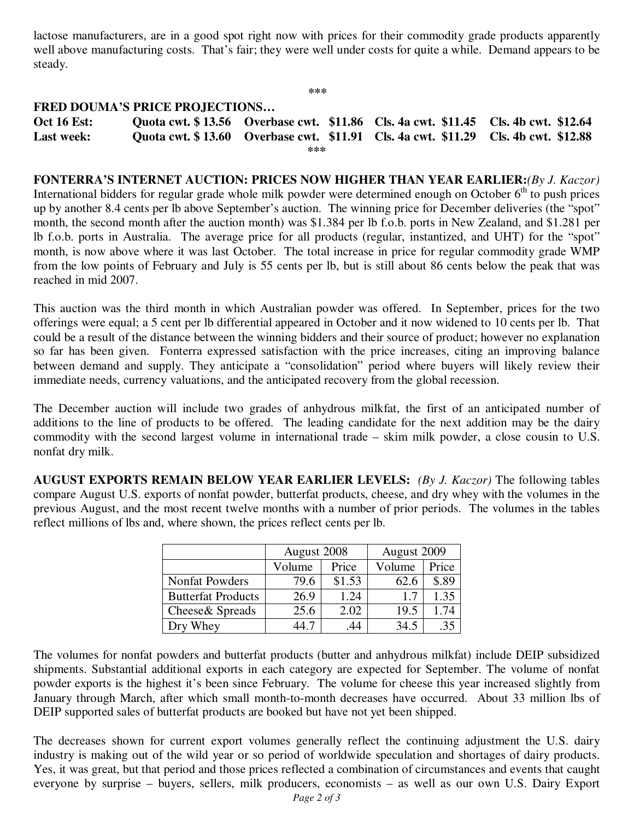lactose manufacturers, are in a good spot right now with prices for their commodity grade products apparently well above manufacturing costs. That's fair; they were well under costs for quite a while. Demand appears to be steady.

**\*\*\*** 

## **FRED DOUMA'S PRICE PROJECTIONS…**

**Oct 16 Est: Quota cwt. \$ 13.56 Overbase cwt. \$11.86 Cls. 4a cwt. \$11.45 Cls. 4b cwt. \$12.64 Last week: Quota cwt. \$ 13.60 Overbase cwt. \$11.91 Cls. 4a cwt. \$11.29 Cls. 4b cwt. \$12.88 \*\*\*** 

**FONTERRA'S INTERNET AUCTION: PRICES NOW HIGHER THAN YEAR EARLIER:***(By J. Kaczor)* International bidders for regular grade whole milk powder were determined enough on October  $6<sup>th</sup>$  to push prices up by another 8.4 cents per lb above September's auction. The winning price for December deliveries (the "spot" month, the second month after the auction month) was \$1.384 per lb f.o.b. ports in New Zealand, and \$1.281 per lb f.o.b. ports in Australia. The average price for all products (regular, instantized, and UHT) for the "spot" month, is now above where it was last October. The total increase in price for regular commodity grade WMP from the low points of February and July is 55 cents per lb, but is still about 86 cents below the peak that was reached in mid 2007.

This auction was the third month in which Australian powder was offered. In September, prices for the two offerings were equal; a 5 cent per lb differential appeared in October and it now widened to 10 cents per lb. That could be a result of the distance between the winning bidders and their source of product; however no explanation so far has been given. Fonterra expressed satisfaction with the price increases, citing an improving balance between demand and supply. They anticipate a "consolidation" period where buyers will likely review their immediate needs, currency valuations, and the anticipated recovery from the global recession.

The December auction will include two grades of anhydrous milkfat, the first of an anticipated number of additions to the line of products to be offered. The leading candidate for the next addition may be the dairy commodity with the second largest volume in international trade – skim milk powder, a close cousin to U.S. nonfat dry milk.

**AUGUST EXPORTS REMAIN BELOW YEAR EARLIER LEVELS:** *(By J. Kaczor)* The following tables compare August U.S. exports of nonfat powder, butterfat products, cheese, and dry whey with the volumes in the previous August, and the most recent twelve months with a number of prior periods. The volumes in the tables reflect millions of lbs and, where shown, the prices reflect cents per lb.

|                           | August 2008 |        | August 2009 |       |
|---------------------------|-------------|--------|-------------|-------|
|                           | Volume      | Price  | Volume      | Price |
| <b>Nonfat Powders</b>     | 79.6        | \$1.53 | 62.6        | \$.89 |
| <b>Butterfat Products</b> | 26.9        | 1.24   | 1.7         | 1.35  |
| Cheese & Spreads          | 25.6        | 2.02   | 19.5        | 1.74  |
| Whey                      | .4 7        | 44     | 34.5        | .35   |

The volumes for nonfat powders and butterfat products (butter and anhydrous milkfat) include DEIP subsidized shipments. Substantial additional exports in each category are expected for September. The volume of nonfat powder exports is the highest it's been since February. The volume for cheese this year increased slightly from January through March, after which small month-to-month decreases have occurred. About 33 million lbs of DEIP supported sales of butterfat products are booked but have not yet been shipped.

The decreases shown for current export volumes generally reflect the continuing adjustment the U.S. dairy industry is making out of the wild year or so period of worldwide speculation and shortages of dairy products. Yes, it was great, but that period and those prices reflected a combination of circumstances and events that caught everyone by surprise – buyers, sellers, milk producers, economists – as well as our own U.S. Dairy Export